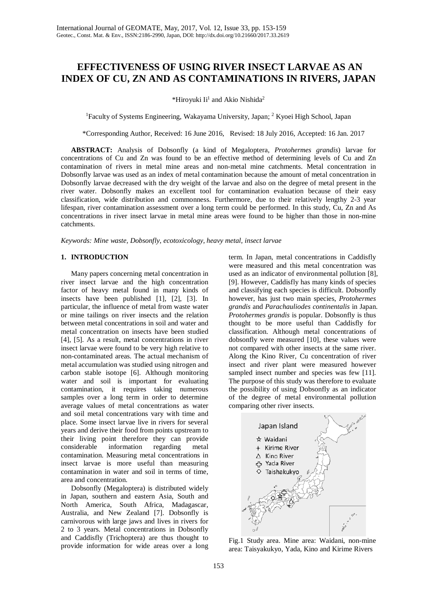# **EFFECTIVENESS OF USING RIVER INSECT LARVAE AS AN INDEX OF CU, ZN AND AS CONTAMINATIONS IN RIVERS, JAPAN**

\*Hiroyuki Ii<sup>1</sup> and Akio Nishida<sup>2</sup>

<sup>1</sup>Faculty of Systems Engineering, Wakayama University, Japan; <sup>2</sup> Kyoei High School, Japan

\*Corresponding Author, Received: 16 June 2016, Revised: 18 July 2016, Accepted: 16 Jan. 2017

**ABSTRACT:** Analysis of Dobsonfly (a kind of Megaloptera, *Protohermes grandis*) larvae for concentrations of Cu and Zn was found to be an effective method of determining levels of Cu and Zn contamination of rivers in metal mine areas and non-metal mine catchments. Metal concentration in Dobsonfly larvae was used as an index of metal contamination because the amount of metal concentration in Dobsonfly larvae decreased with the dry weight of the larvae and also on the degree of metal present in the river water. Dobsonfly makes an excellent tool for contamination evaluation because of their easy classification, wide distribution and commonness. Furthermore, due to their relatively lengthy 2-3 year lifespan, river contamination assessment over a long term could be performed. In this study, Cu, Zn and As concentrations in river insect larvae in metal mine areas were found to be higher than those in non-mine catchments.

*Keywords: Mine waste, Dobsonfly, ecotoxicology, heavy metal, insect larvae*

### **1. INTRODUCTION**

Many papers concerning metal concentration in river insect larvae and the high concentration factor of heavy metal found in many kinds of insects have been published [1], [2], [3]. In particular, the influence of metal from waste water or mine tailings on river insects and the relation between metal concentrations in soil and water and metal concentration on insects have been studied [4], [5]. As a result, metal concentrations in river insect larvae were found to be very high relative to non-contaminated areas. The actual mechanism of metal accumulation was studied using nitrogen and carbon stable isotope [6]. Although monitoring water and soil is important for evaluating contamination, it requires taking numerous samples over a long term in order to determine average values of metal concentrations as water and soil metal concentrations vary with time and place. Some insect larvae live in rivers for several years and derive their food from points upstream to their living point therefore they can provide considerable information regarding metal contamination. Measuring metal concentrations in insect larvae is more useful than measuring contamination in water and soil in terms of time, area and concentration.

Dobsonfly (Megaloptera) is distributed widely in Japan, southern and eastern Asia, South and North America, South Africa, Madagascar, Australia, and New Zealand [7]. Dobsonfly is carnivorous with large jaws and lives in rivers for 2 to 3 years. Metal concentrations in Dobsonfly and Caddisfly (Trichoptera) are thus thought to provide information for wide areas over a long

term. In Japan, metal concentrations in Caddisfly were measured and this metal concentration was used as an indicator of environmental pollution [8], [9]. However, Caddisfly has many kinds of species and classifying each species is difficult. Dobsonfly however, has just two main species, *Protohermes grandis* and *Parachauliodes continentalis* in Japan. *Protohermes grandis* is popular. Dobsonfly is thus thought to be more useful than Caddisfly for classification. Although metal concentrations of dobsonfly were measured [10], these values were not compared with other insects at the same river. Along the Kino River, Cu concentration of river insect and river plant were measured however sampled insect number and species was few [11]. The purpose of this study was therefore to evaluate the possibility of using Dobsonfly as an indicator of the degree of metal environmental pollution comparing other river insects.



Fig.1 Study area. Mine area: Waidani, non-mine area: Taisyakukyo, Yada, Kino and Kirime Rivers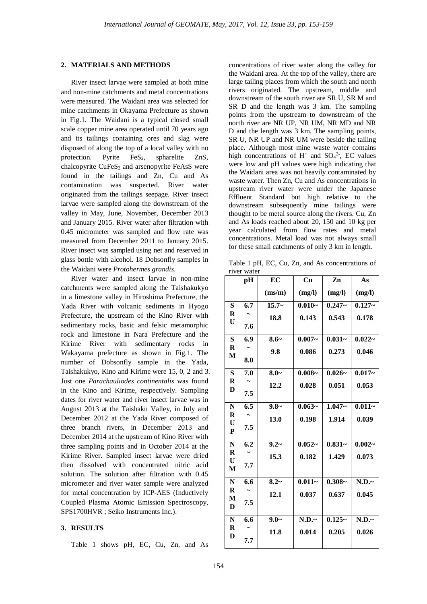#### **2. MATERIALS AND METHODS**

River insect larvae were sampled at both mine and non-mine catchments and metal concentrations were measured. The Waidani area was selected for mine catchments in Okayama Prefecture as shown in Fig.1. The Waidani is a typical closed small scale copper mine area operated until 70 years ago and its tailings containing ores and slag were disposed of along the top of a local valley with no protection. Pyrite  $FeS<sub>2</sub>$ , spharelite ZnS, chalcopyrite  $CuFeS<sub>2</sub>$  and arsenopyrite FeAsS were found in the tailings and Zn, Cu and As contamination was suspected. River water originated from the tailings seepage. River insect larvae were sampled along the downstream of the valley in May, June, November, December 2013 and January 2015. River water after filtration with 0.45 micrometer was sampled and flow rate was measured from December 2011 to January 2015. River insect was sampled using net and reserved in glass bottle with alcohol. 18 Dobsonfly samples in the Waidani were *Protohermes grandis*.

River water and insect larvae in non-mine catchments were sampled along the Taishakukyo in a limestone valley in Hiroshima Prefecture, the Yada River with volcanic sediments in Hyogo Prefecture, the upstream of the Kino River with sedimentary rocks, basic and felsic metamorphic rock and limestone in Nara Prefecture and the Kirime River with sedimentary rocks in Wakayama prefecture as shown in Fig.1. The number of Dobsonfly sample in the Yada, Taishakukyo, Kino and Kirime were 15, 0, 2 and 3. Just one *Parachauliodes continentalis* was found in the Kino and Kirime, respectively. Sampling dates for river water and river insect larvae was in August 2013 at the Taishaku Valley, in July and December 2012 at the Yada River composed of three branch rivers, in December 2013 and December 2014 at the upstream of Kino River with three sampling points and in October 2014 at the Kirime River. Sampled insect larvae were dried then dissolved with concentrated nitric acid solution. The solution after filtration with 0.45 micrometer and river water sample were analyzed for metal concentration by ICP-AES (Inductively Coupled Plasma Atomic Emission Spectroscopy, SPS1700HVR ; Seiko Instruments Inc.).

## **3. RESULTS**

Table 1 shows pH, EC, Cu, Zn, and As

concentrations of river water along the valley for the Waidani area. At the top of the valley, there are large tailing places from which the south and north rivers originated. The upstream, middle and downstream of the south river are SR U, SR M and SR D and the length was 3 km. The sampling points from the upstream to downstream of the north river are NR UP, NR UM, NR MD and NR D and the length was 3 km. The sampling points, SR U, NR UP and NR UM were beside the tailing place. Although most mine waste water contains high concentrations of  $H^+$  and  $SO_4^2$ , EC values were low and pH values were high indicating that the Waidani area was not heavily contaminated by waste water. Then Zn, Cu and As concentrations in upstream river water were under the Japanese Effluent Standard but high relative to the downstream subsequently mine tailings were thought to be metal source along the rivers. Cu, Zn and As loads reached about 20, 150 and 10 kg per year calculated from flow rates and metal concentrations. Metal load was not always small for these small catchments of only 3 km in length.

Table 1 pH, EC, Cu, Zn, and As concentrations of river water

|                             | pH               | EC      | Cu        | Zn        | As        |
|-----------------------------|------------------|---------|-----------|-----------|-----------|
|                             |                  | (ms/m)  | (mg/l)    | (mg/l)    | (mg/l)    |
| S                           | 6.7              | $15.7-$ | $0.010 -$ | $0.247 -$ | $0.127 -$ |
| $\bf R$<br>$\mathbf U$      |                  | 18.8    | 0.143     | 0.543     | 0.178     |
|                             | 7.6              |         |           |           |           |
| $\overline{\mathbf{s}}$     | 6.9              | $8.6-$  | $0.007 -$ | $0.031 -$ | $0.022 -$ |
| $\bf R$<br>M                |                  | 9.8     | 0.086     | 0.273     | 0.046     |
|                             | 8.0              |         |           |           |           |
| S                           | 7.0              | $8.0-$  | $0.008 -$ | $0.026 -$ | $0.017 -$ |
| $\bf R$                     |                  | 12.2    | 0.028     | 0.051     | 0.053     |
| D                           | 7.5              |         |           |           |           |
| N                           | 6.5              | $9.8-$  | $0.063 -$ | $1.047 -$ | $0.011 -$ |
| $\bf R$                     |                  | 13.0    | 0.198     | 1.914     | 0.039     |
| U<br>${\bf P}$              | 7.5              |         |           |           |           |
|                             |                  |         |           |           |           |
| $\overline{\mathbf{N}}$     | 6.2              | $9.2-$  | $0.052 -$ | $0.831 -$ | $0.002 -$ |
| $\mathbf R$<br>$\mathbf{U}$ |                  | 15.3    | 0.182     | 1.429     | 0.073     |
| M                           | 7.7              |         |           |           |           |
| $\overline{\mathbf{N}}$     | $\overline{6.6}$ | $8.2-$  | $0.011 -$ | $0.308 -$ | N.D.~     |
| $\bf R$                     |                  | 12.1    | 0.037     | 0.637     | 0.045     |
| M<br>D                      | 7.5              |         |           |           |           |
|                             |                  |         |           |           |           |
| ${\bf N}$<br>$\bf R$        | 6.6              | $9.0-$  | N.D.~     | $0.125-$  | N.D.~     |
| D                           |                  | 11.8    | 0.014     | 0.205     | 0.026     |
|                             | 7.7              |         |           |           |           |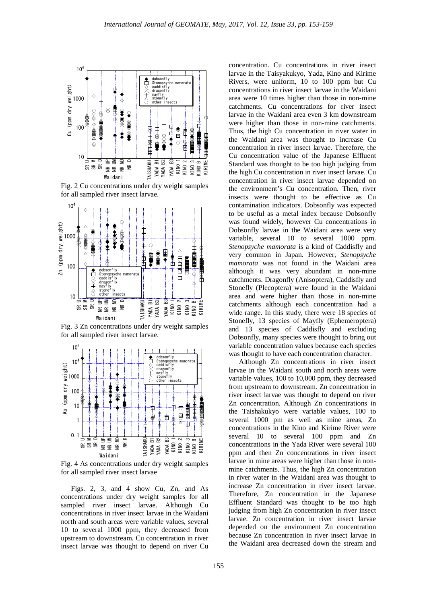

Fig. 2 Cu concentrations under dry weight samples for all sampled river insect larvae.



Fig. 3 Zn concentrations under dry weight samples for all sampled river insect larvae.



Fig. 4 As concentrations under dry weight samples for all sampled river insect larvae

Figs. 2, 3, and 4 show Cu, Zn, and As concentrations under dry weight samples for all sampled river insect larvae. Although Cu concentrations in river insect larvae in the Waidani north and south areas were variable values, several 10 to several 1000 ppm, they decreased from upstream to downstream. Cu concentration in river insect larvae was thought to depend on river Cu

concentration. Cu concentrations in river insect larvae in the Taisyakukyo, Yada, Kino and Kirime Rivers, were uniform, 10 to 100 ppm but Cu concentrations in river insect larvae in the Waidani area were 10 times higher than those in non-mine catchments. Cu concentrations for river insect larvae in the Waidani area even 3 km downstream were higher than those in non-mine catchments. Thus, the high Cu concentration in river water in the Waidani area was thought to increase Cu concentration in river insect larvae. Therefore, the Cu concentration value of the Japanese Effluent Standard was thought to be too high judging from the high Cu concentration in river insect larvae. Cu concentration in river insect larvae depended on the environment's Cu concentration. Then, river insects were thought to be effective as Cu contamination indicators. Dobsonfly was expected to be useful as a metal index because Dobsonfly was found widely, however Cu concentrations in Dobsonfly larvae in the Waidani area were very variable, several 10 to several 1000 ppm. *Stenopsyche mamorata* is a kind of Caddisfly and very common in Japan. However, *Stenopsyche mamorata* was not found in the Waidani area although it was very abundant in non-mine catchments. Dragonfly (Anisoptera), Caddisfly and Stonefly (Plecoptera) were found in the Waidani area and were higher than those in non-mine catchments although each concentration had a wide range. In this study, there were 18 species of Stonefly, 13 species of Mayfly (Ephemeroptera) and 13 species of Caddisfly and excluding Dobsonfly, many species were thought to bring out variable concentration values because each species was thought to have each concentration character.

Although Zn concentrations in river insect larvae in the Waidani south and north areas were variable values, 100 to 10,000 ppm, they decreased from upstream to downstream. Zn concentration in river insect larvae was thought to depend on river Zn concentration. Although Zn concentrations in the Taishakukyo were variable values, 100 to several 1000 pm as well as mine areas, Zn concentrations in the Kino and Kirime River were several 10 to several 100 ppm and Zn concentrations in the Yada River were several 100 ppm and then Zn concentrations in river insect larvae in mine areas were higher than those in nonmine catchments. Thus, the high Zn concentration in river water in the Waidani area was thought to increase Zn concentration in river insect larvae. Therefore, Zn concentration in the Japanese Effluent Standard was thought to be too high judging from high Zn concentration in river insect larvae. Zn concentration in river insect larvae depended on the environment Zn concentration because Zn concentration in river insect larvae in the Waidani area decreased down the stream and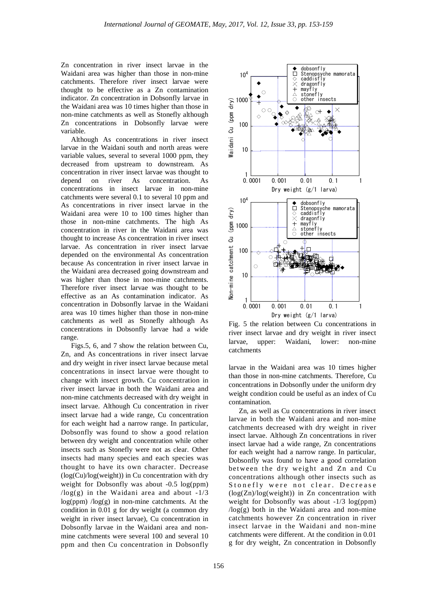Zn concentration in river insect larvae in the Waidani area was higher than those in non-mine catchments. Therefore river insect larvae were thought to be effective as a Zn contamination indicator. Zn concentration in Dobsonfly larvae in the Waidani area was 10 times higher than those in non-mine catchments as well as Stonefly although Zn concentrations in Dobsonfly larvae were variable.

Although As concentrations in river insect larvae in the Waidani south and north areas were variable values, several to several 1000 ppm, they decreased from upstream to downstream. As concentration in river insect larvae was thought to depend on river As concentration. As concentrations in insect larvae in non-mine catchments were several 0.1 to several 10 ppm and As concentrations in river insect larvae in the Waidani area were 10 to 100 times higher than those in non-mine catchments. The high As concentration in river in the Waidani area was thought to increase As concentration in river insect larvae. As concentration in river insect larvae depended on the environmental As concentration because As concentration in river insect larvae in the Waidani area decreased going downstream and was higher than those in non-mine catchments. Therefore river insect larvae was thought to be effective as an As contamination indicator. As concentration in Dobsonfly larvae in the Waidani area was 10 times higher than those in non-mine catchments as well as Stonefly although As concentrations in Dobsonfly larvae had a wide range.

Figs.5, 6, and 7 show the relation between Cu, Zn, and As concentrations in river insect larvae and dry weight in river insect larvae because metal concentrations in insect larvae were thought to change with insect growth. Cu concentration in river insect larvae in both the Waidani area and non-mine catchments decreased with dry weight in insect larvae. Although Cu concentration in river insect larvae had a wide range, Cu concentration for each weight had a narrow range. In particular, Dobsonfly was found to show a good relation between dry weight and concentration while other insects such as Stonefly were not as clear. Other insects had many species and each species was thought to have its own character. Decrease (log(Cu)/log(weight)) in Cu concentration with dry weight for Dobsonfly was about -0.5 log(ppm)  $\log(g)$  in the Waidani area and about -1/3  $log(ppm)$  / $log(g)$  in non-mine catchments. At the condition in 0.01 g for dry weight (a common dry weight in river insect larvae), Cu concentration in Dobsonfly larvae in the Waidani area and nonmine catchments were several 100 and several 10 ppm and then Cu concentration in Dobsonfly



Fig. 5 the relation between Cu concentrations in river insect larvae and dry weight in river insect larvae, upper: Waidani, lower: non-mine catchments

larvae in the Waidani area was 10 times higher than those in non-mine catchments. Therefore, Cu concentrations in Dobsonfly under the uniform dry weight condition could be useful as an index of Cu contamination.

Zn, as well as Cu concentrations in river insect larvae in both the Waidani area and non-mine catchments decreased with dry weight in river insect larvae. Although Zn concentrations in river insect larvae had a wide range, Zn concentrations for each weight had a narrow range. In particular, Dobsonfly was found to have a good correlation between the dry weight and Zn and Cu concentrations although other insects such as Stonefly were not clear. Decrease  $(log(Zn)/log(weight))$  in Zn concentration with weight for Dobsonfly was about  $-1/3 \log(ppm)$  $\log(g)$  both in the Waidani area and non-mine catchments however Zn concentration in river insect larvae in the Waidani and non-mine catchments were different. At the condition in 0.01 g for dry weight, Zn concentration in Dobsonfly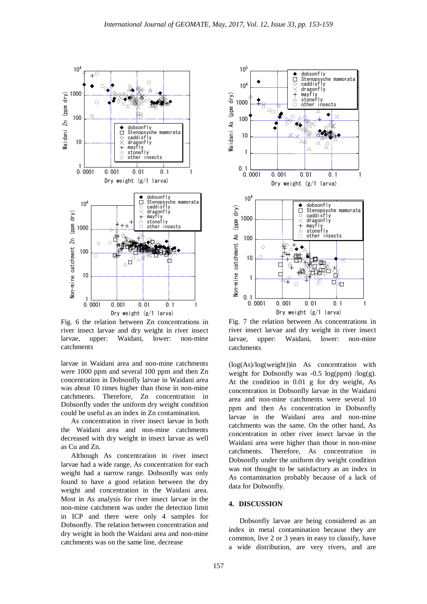

Fig. 6 the relation between Zn concentrations in river insect larvae and dry weight in river insect larvae, upper: Waidani, lower: non-mine catchments

larvae in Waidani area and non-mine catchments were 1000 ppm and several 100 ppm and then Zn concentration in Dobsonfly larvae in Waidani area was about 10 times higher than those in non-mine catchments. Therefore, Zn concentration in Dobsonfly under the uniform dry weight condition could be useful as an index in Zn contamination.

As concentration in river insect larvae in both the Waidani area and non-mine catchments decreased with dry weight in insect larvae as well as Cu and Zn.

Although As concentration in river insect larvae had a wide range, As concentration for each weight had a narrow range. Dobsonfly was only found to have a good relation between the dry weight and concentration in the Waidani area. Most in As analysis for river insect larvae in the non-mine catchment was under the detection limit in ICP and there were only 4 samples for Dobsonfly. The relation between concentration and dry weight in both the Waidani area and non-mine catchments was on the same line, decrease



Fig. 7 the relation between As concentrations in river insect larvae and dry weight in river insect larvae, upper: Waidani, lower: non-mine catchments

(log(As)/log(weight))in As concentration with weight for Dobsonfly was  $-0.5 \log(ppm) / \log(g)$ . At the condition in 0.01 g for dry weight, As concentration in Dobsonfly larvae in the Waidani area and non-mine catchments were several 10 ppm and then As concentration in Dobsonfly larvae in the Waidani area and non-mine catchments was the same. On the other hand, As concentration in other river insect larvae in the Waidani area were higher than those in non-mine catchments. Therefore, As concentration in Dobsonfly under the uniform dry weight condition was not thought to be satisfactory as an index in As contamination probably because of a lack of data for Dobsonfly.

### **4. DISCUSSION**

Dobsonfly larvae are being considered as an index in metal contamination because they are common, live 2 or 3 years in easy to classify, have a wide distribution, are very rivers, and are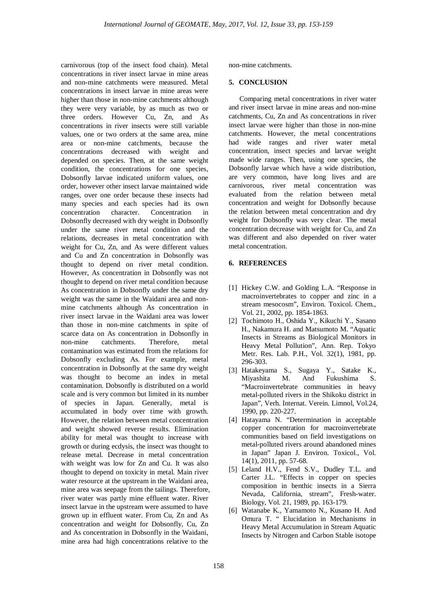carnivorous (top of the insect food chain). Metal concentrations in river insect larvae in mine areas and non-mine catchments were measured. Metal concentrations in insect larvae in mine areas were higher than those in non-mine catchments although they were very variable, by as much as two or three orders. However Cu, Zn, and As concentrations in river insects were still variable values, one or two orders at the same area, mine area or non-mine catchments, because the concentrations decreased with weight and depended on species. Then, at the same weight condition, the concentrations for one species, Dobsonfly larvae indicated uniform values, one order, however other insect larvae maintained wide ranges, over one order because these insects had many species and each species had its own concentration character. Concentration in Dobsonfly decreased with dry weight in Dobsonfly under the same river metal condition and the relations, decreases in metal concentration with weight for Cu, Zn, and As were different values and Cu and Zn concentration in Dobsonfly was thought to depend on river metal condition. However, As concentration in Dobsonfly was not thought to depend on river metal condition because As concentration in Dobsonfly under the same dry weight was the same in the Waidani area and nonmine catchments although As concentration in river insect larvae in the Waidani area was lower than those in non-mine catchments in spite of scarce data on As concentration in Dobsonfly in non-mine catchments. Therefore, metal contamination was estimated from the relations for Dobsonfly excluding As. For example, metal concentration in Dobsonfly at the same dry weight was thought to become an index in metal contamination. Dobsonfly is distributed on a world scale and is very common but limited in its number of species in Japan. Generally, metal is accumulated in body over time with growth. However, the relation between metal concentration and weight showed reverse results. Elimination ability for metal was thought to increase with growth or during ecdysis, the insect was thought to release metal. Decrease in metal concentration with weight was low for Zn and Cu. It was also thought to depend on toxicity in metal. Main river water resource at the upstream in the Waidani area, mine area was seepage from the tailings. Therefore, river water was partly mine effluent water. River insect larvae in the upstream were assumed to have grown up in effluent water. From Cu, Zn and As concentration and weight for Dobsonfly, Cu, Zn and As concentration in Dobsonfly in the Waidani, mine area had high concentrations relative to the

non-mine catchments.

## **5. CONCLUSION**

Comparing metal concentrations in river water and river insect larvae in mine areas and non-mine catchments, Cu, Zn and As concentrations in river insect larvae were higher than those in non-mine catchments. However, the metal concentrations had wide ranges and river water metal concentration, insect species and larvae weight made wide ranges. Then, using one species, the Dobsonfly larvae which have a wide distribution, are very common, have long lives and are carnivorous, river metal concentration was evaluated from the relation between metal concentration and weight for Dobsonfly because the relation between metal concentration and dry weight for Dobsonfly was very clear. The metal concentration decrease with weight for Cu, and Zn was different and also depended on river water metal concentration.

## **6. REFERENCES**

- [1] Hickey C.W. and Golding L.A. "Response in macroinvertebrates to copper and zinc in a stream mesocosm", Environ. Toxicol. Chem., Vol. 21, 2002, pp. 1854-1863.
- [2] Tochimoto H., Oshida Y., Kikuchi Y., Sasano H., Nakamura H. and Matsumoto M. "Aquatic Insects in Streams as Biological Monitors in Heavy Metal Pollution", Ann. Rep. Tokyo Metr. Res. Lab. P.H., Vol. 32(1), 1981, pp. 296-303.
- [3] Hatakeyama S., Sugaya Y., Satake K., Miyashita M. And Fukushima S. "Macroinvertebrate communities in heavy metal-polluted rivers in the Shikoku district in Japan", Verh. Internat. Verein. Limnol, Vol.24, 1990, pp. 220-227.
- [4] Hatayama N. "Determination in acceptable copper concentration for macroinvertebrate communities based on field investigations on metal-polluted rivers around abandoned mines in Japan" Japan J. Environ. Toxicol., Vol. 14(1), 2011, pp. 57-68.
- [5] Leland H.V., Fend S.V., Dudley T.L. and Carter J.L. "Effects in copper on species composition in benthic insects in a Sierra Nevada, California, stream", Fresh-water. Biology, Vol. 21, 1989, pp. 163-179.
- [6] Watanabe K., Yamamoto N., Kusano H. And Omura T. " Elucidation in Mechanisms in Heavy Metal Accumulation in Stream Aquatic Insects by Nitrogen and Carbon Stable isotope